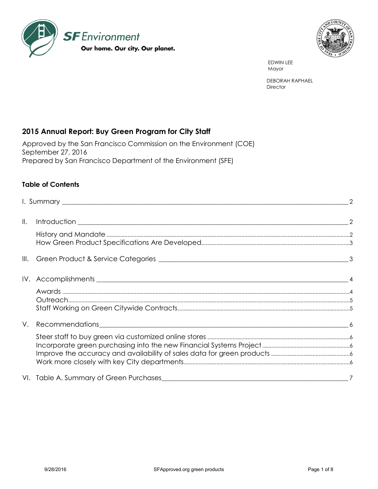



 EDWIN LEE Mayor and the contract of the contract of the contract of the contract of the contract of the contract of the contract of the contract of the contract of the contract of the contract of the contract of the contract of the

> DEBORAH RAPHAEL **Director**

# **2015 Annual Report: Buy Green Program for City Staff**

Approved by the San Francisco Commission on the Environment (COE) September 27, 2016 Prepared by San Francisco Department of the Environment (SFE)

## **Table of Contents**

| $\parallel$ . |  |
|---------------|--|
|               |  |
|               |  |
|               |  |
|               |  |
| V.            |  |
|               |  |
|               |  |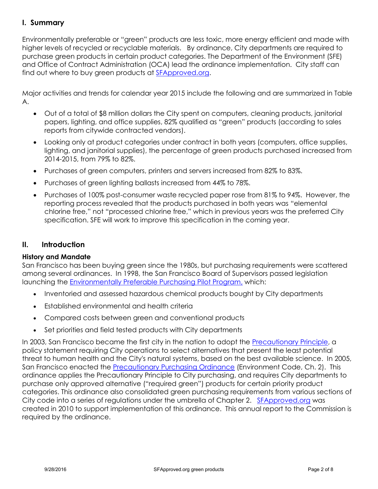# <span id="page-1-0"></span>**I. Summary**

Environmentally preferable or "green" products are less toxic, more energy efficient and made with higher levels of recycled or recyclable materials. By ordinance, City departments are required to purchase green products in certain product categories. The Department of the Environment (SFE) and Office of Contract Administration (OCA) lead the ordinance implementation. City staff can find out where to buy green products at [SFApproved.org.](http://www.sfapproved.org/)

Major activities and trends for calendar year 2015 include the following and are summarized in Table A.

- Out of a total of \$8 million dollars the City spent on computers, cleaning products, janitorial papers, lighting, and office supplies, 82% qualified as "green" products (according to sales reports from citywide contracted vendors).
- Looking only at product categories under contract in both years (computers, office supplies, lighting, and janitorial supplies), the percentage of green products purchased increased from 2014-2015, from 79% to 82%.
- Purchases of green computers, printers and servers increased from 82% to 83%.
- Purchases of green lighting ballasts increased from 44% to 78%.
- Purchases of 100% post-consumer waste recycled paper rose from 81% to 94%. However, the reporting process revealed that the products purchased in both years was "elemental chlorine free," not "processed chlorine free," which in previous years was the preferred City specification. SFE will work to improve this specification in the coming year.

## <span id="page-1-1"></span>**II. Introduction**

## <span id="page-1-2"></span>**History and Mandate**

San Francisco has been buying green since the 1980s, but purchasing requirements were scattered among several ordinances. In 1998, the San Francisco Board of Supervisors passed legislation launching the [Environmentally Preferable Purchasing Pilot Program,](http://www.sfenvironment.org/downloads/library/sf_green_purchasing_priorities_summary_0912_92209.pdf) which:

- Inventoried and assessed hazardous chemical products bought by City departments
- Established environmental and health criteria
- Compared costs between green and conventional products
- Set priorities and field tested products with City departments

In 2003, San Francisco became the first city in the nation to adopt the [Precautionary Principle,](http://www.amlegal.com/nxt/gateway.dll/California/environment/chapter1precautionaryprinciplepolicystat?f=templates$fn=default.htm$3.0$vid=amlegal:sanfrancisco_ca) a policy statement requiring City operations to select alternatives that present the least potential threat to human health and the City's natural systems, based on the best available science. In 2005, San Francisco enacted the [Precautionary Purchasing Ordinance](http://www.municode.com/Resources/gateway.asp?pid=14134&sid=5) (Environment Code, Ch. 2). This ordinance applies the Precautionary Principle to City purchasing, and requires City departments to purchase only approved alternative ("required green") products for certain priority product categories. This ordinance also consolidated green purchasing requirements from various sections of City code into a series of regulations under the umbrella of Chapter 2. [SFApproved.org](http://www.sfapproved.org/) was created in 2010 to support implementation of this ordinance. This annual report to the Commission is required by the ordinance.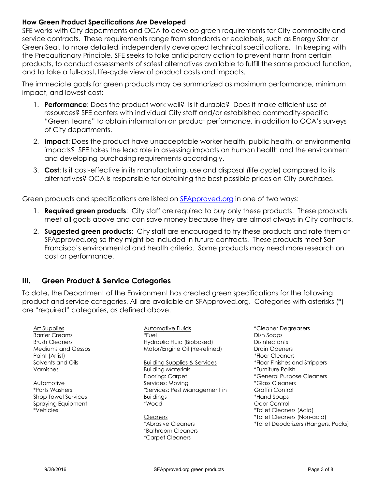#### <span id="page-2-0"></span>**How Green Product Specifications Are Developed**

SFE works with City departments and OCA to develop green requirements for City commodity and service contracts. These requirements range from standards or ecolabels, such as Energy Star or Green Seal, to more detailed, independently developed technical specifications. In keeping with the Precautionary Principle, SFE seeks to take anticipatory action to prevent harm from certain products, to conduct assessments of safest alternatives available to fulfill the same product function, and to take a full-cost, life-cycle view of product costs and impacts.

The immediate goals for green products may be summarized as maximum performance, minimum impact, and lowest cost:

- 1. **Performance**: Does the product work well? Is it durable? Does it make efficient use of resources? SFE confers with individual City staff and/or established commodity-specific "Green Teams" to obtain information on product performance, in addition to OCA's surveys of City departments.
- 2. **Impact**: Does the product have unacceptable worker health, public health, or environmental impacts? SFE takes the lead role in assessing impacts on human health and the environment and developing purchasing requirements accordingly.
- 3. **Cost**: Is it cost-effective in its manufacturing, use and disposal (life cycle) compared to its alternatives? OCA is responsible for obtaining the best possible prices on City purchases.

Green products and specifications are listed on [SFApproved.org](http://www.sfapproved.org/) in one of two ways:

- 1. **Required green products**: City staff are required to buy only these products. These products meet all goals above and can save money because they are almost always in City contracts.
- 2. **Suggested green products**: City staff are encouraged to try these products and rate them at SFApproved.org so they might be included in future contracts. These products meet San Francisco's environmental and health criteria. Some products may need more research on cost or performance.

## <span id="page-2-1"></span>**III. Green Product & Service Categories**

To date, the Department of the Environment has created green specifications for the following product and service categories. All are available on SFApproved.org. Categories with asterisks (\*) are "required" categories, as defined above.

| Art Supplies<br><b>Barrier Creams</b><br><b>Brush Cleaners</b><br>Mediums and Gessos | Automotive Fluids<br>*Fuel<br>Hydraulic Fluid (Biobased)<br>Motor/Engine Oil (Re-refined) | *Cleaner Degreasers<br>Dish Soaps<br><b>Disinfectants</b><br><b>Drain Openers</b> |
|--------------------------------------------------------------------------------------|-------------------------------------------------------------------------------------------|-----------------------------------------------------------------------------------|
| Paint (Artist)<br>Solvents and Oils                                                  | <b>Building Supplies &amp; Services</b>                                                   | *Floor Cleaners<br>*Floor Finishes and Strippers                                  |
| Varnishes                                                                            | <b>Building Materials</b>                                                                 | *Furniture Polish                                                                 |
|                                                                                      | Flooring: Carpet                                                                          | *General Purpose Cleaners                                                         |
| Automotive                                                                           | Services: Moving                                                                          | <i>*Glass Cleaners</i>                                                            |
| <i><b>*Parts Washers</b></i>                                                         | *Services: Pest Management in                                                             | Graffiti Control                                                                  |
| Shop Towel Services                                                                  | <b>Buildings</b>                                                                          | *Hand Soaps                                                                       |
| <b>Spraying Equipment</b>                                                            | *Wood                                                                                     | Odor Control                                                                      |
| *Vehicles                                                                            |                                                                                           | *Toilet Cleaners (Acid)                                                           |
|                                                                                      | <b>Cleaners</b>                                                                           | *Toilet Cleaners (Non-acid)                                                       |
|                                                                                      | *Abrasive Cleaners<br>*Bathroom Cleaners<br><i>*Carpet Cleaners</i>                       | *Toilet Deodorizers (Hangers, Pucks)                                              |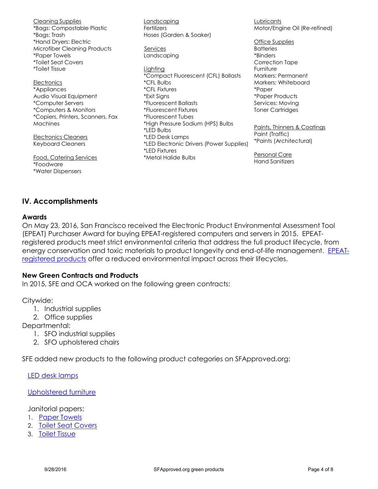Cleaning Supplies \*Bags: Compostable Plastic \*Bags: Trash \*Hand Dryers: Electric Microfiber Cleaning Products \*Paper Towels \*Toilet Seat Covers \*Toilet Tissue **Electronics** \*Appliances Audio Visual Equipment \*Computer Servers \*Computers & Monitors \*Copiers, Printers, Scanners, Fax **Machines** Electronics Cleaners Keyboard Cleaners Food, Catering Services \*Foodware \*Water Dispensers Landscaping **Fertilizers** Hoses (Garden & Soaker) Services Landscaping Lighting \*Compact Fluorescent (CFL) Ballasts \*CFL Bulbs \*CFL Fixtures \*Exit Signs \*Fluorescent Ballasts \*Fluorescent Fixtures \*Fluorescent Tubes \*High Pressure Sodium (HPS) Bulbs \*LED Bulbs \*LED Desk Lamps \*LED Electronic Drivers (Power Supplies) \*LED Fixtures \*Metal Halide Bulbs Lubricants Motor/Engine Oil (Re-refined) Office Supplies **Batteries** \*Binders Correction Tape Furniture Markers: Permanent Markers: Whiteboard \*Paper \*Paper Products Services: Moving Toner Cartridges Paints, Thinners & Coatings Paint (Traffic) \*Paints (Architectural) Personal Care Hand Sanitizers

## <span id="page-3-0"></span>**IV. Accomplishments**

#### <span id="page-3-1"></span>**Awards**

On May 23, 2016, San Francisco received the Electronic Product Environmental Assessment Tool (EPEAT) Purchaser Award for buying EPEAT-registered computers and servers in 2015. EPEATregistered products meet strict environmental criteria that address the full product lifecycle, from energy conservation and toxic materials to product longevity and end-of-life management. [EPEAT](http://ww2.epeat.net/searchoptions.aspx)[registered products](http://ww2.epeat.net/searchoptions.aspx) offer a reduced environmental impact across their lifecycles.

#### **New Green Contracts and Products**

In 2015, SFE and OCA worked on the following green contracts:

Citywide:

- 1. Industrial supplies
- 2. Office supplies

Departmental:

- 1. SFO industrial supplies
- 2. SFO upholstered chairs

SFE added new products to the following product categories on SFApproved.org:

[LED desk lamps](http://sfapproved.org/led-desk-lamps)

#### [Upholstered furniture](http://sfapproved.org/upholstered-home-office-chairs-couches-no-flame-retardant-chemicals)

Janitorial papers:

- 1. [Paper Towels](http://sfapproved.org/paper-towels)
- 2. [Toilet Seat Covers](http://sfapproved.org/toilet-seat-covers)
- 3. [Toilet Tissue](http://sfapproved.org/toilet-tissue)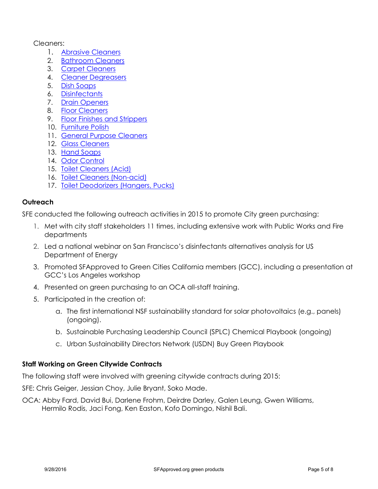#### Cleaners:

- 1. [Abrasive Cleaners](http://sfapproved.org/abrasive-cleaners)
- 2. [Bathroom Cleaners](http://sfapproved.org/bathroom-cleaners)
- 3. [Carpet Cleaners](http://sfapproved.org/carpet-cleaners)
- 4. [Cleaner Degreasers](http://sfapproved.org/cleaner-degreasers)
- 5. [Dish Soaps](http://sfapproved.org/dish-soaps)
- 6. [Disinfectants](http://sfapproved.org/disinfectants)
- 7. [Drain Openers](http://sfapproved.org/drain-openers)
- 8. [Floor Cleaners](http://sfapproved.org/floor-cleaners)
- 9. [Floor Finishes and Strippers](http://sfapproved.org/floor-finishes-and-strippers)
- 10. [Furniture Polish](http://sfapproved.org/furniture-polish)
- 11. [General Purpose Cleaners](http://sfapproved.org/general-purpose-cleaners)
- 12. [Glass Cleaners](http://sfapproved.org/glass-cleaners)
- 13. [Hand Soaps](http://sfapproved.org/hand-soaps)
- 14. [Odor Control](http://sfapproved.org/odor-control)
- 15. [Toilet Cleaners \(Acid\)](http://sfapproved.org/toilet-cleaners-acid)
- 16. [Toilet Cleaners \(Non-acid\)](http://sfapproved.org/toilet-cleaners-non-acid)
- 17. [Toilet Deodorizers \(Hangers, Pucks\)](http://sfapproved.org/toilet-deodorizers-hangers-pucks)

## <span id="page-4-0"></span>**Outreach**

SFE conducted the following outreach activities in 2015 to promote City green purchasing:

- 1. Met with city staff stakeholders 11 times, including extensive work with Public Works and Fire departments
- 2. Led a national webinar on San Francisco's disinfectants alternatives analysis for US Department of Energy
- 3. Promoted SFApproved to Green Cities California members (GCC), including a presentation at GCC's Los Angeles workshop
- 4. Presented on green purchasing to an OCA all-staff training.
- 5. Participated in the creation of:
	- a. The first international NSF sustainability standard for solar photovoltaics (e.g., panels) (ongoing).
	- b. Sustainable Purchasing Leadership Council (SPLC) Chemical Playbook (ongoing)
	- c. Urban Sustainability Directors Network (USDN) Buy Green Playbook

## <span id="page-4-1"></span>**Staff Working on Green Citywide Contracts**

The following staff were involved with greening citywide contracts during 2015:

SFE: Chris Geiger, Jessian Choy, Julie Bryant, Soko Made.

OCA: Abby Fard, David Bui, Darlene Frohm, Deirdre Darley, Galen Leung, Gwen Williams, Hermilo Rodis, Jaci Fong, Ken Easton, Kofo Domingo, Nishil Bali.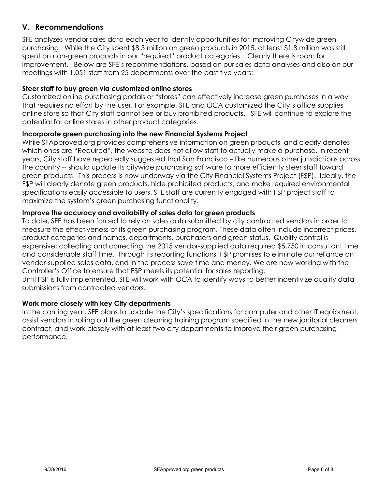# <span id="page-5-0"></span>**V. Recommendations**

SFE analyzes vendor sales data each year to identify opportunities for improving Citywide green purchasing. While the City spent \$8.3 million on green products in 2015, at least \$1.8 million was still spent on non-green products in our "required" product categories. Clearly there is room for improvement. Below are SFE's recommendations, based on our sales data analyses and also on our meetings with 1,051 staff from 25 departments over the past five years:

#### <span id="page-5-1"></span>**Steer staff to buy green via customized online stores**

Customized online purchasing portals or "stores" can effectively increase green purchases in a way that requires no effort by the user. For example, SFE and OCA customized the City's office supplies online store so that City staff cannot see or buy prohibited products. SFE will continue to explore the potential for online stores in other product categories.

#### <span id="page-5-2"></span>**Incorporate green purchasing into the new Financial Systems Project**

While SFApproved.org provides comprehensive information on green products, and clearly denotes which ones are "Required", the website does not allow staff to actually make a purchase. In recent years, City staff have repeatedly suggested that San Francisco – like numerous other jurisdictions across the country -- should update its citywide purchasing software to more efficiently steer staff toward green products. This process is now underway via the City Financial Systems Project (F\$P). Ideally, the F\$P will clearly denote green products, hide prohibited products, and make required environmental specifications easily accessible to users. SFE staff are currently engaged with F\$P project staff to maximize the system's green purchasing functionality.

#### <span id="page-5-3"></span>**Improve the accuracy and availability of sales data for green products**

To date, SFE has been forced to rely on sales data submitted by city contracted vendors in order to measure the effectiveness of its green purchasing program. These data often include incorrect prices, product categories and names, departments, purchasers and green status. Quality control is expensive; collecting and correcting the 2015 vendor-supplied data required \$5,750 in consultant time and considerable staff time. Through its reporting functions, F\$P promises to eliminate our reliance on vendor-supplied sales data, and in the process save time and money. We are now working with the Controller's Office to ensure that F\$P meets its potential for sales reporting.

Until F\$P is fully implemented, SFE will work with OCA to identify ways to better incentivize quality data submissions from contracted vendors.

#### <span id="page-5-4"></span>**Work more closely with key City departments**

In the coming year, SFE plans to update the City's specifications for computer and other IT equipment, assist vendors in rolling out the green cleaning training program specified in the new janitorial cleaners contract, and work closely with at least two city departments to improve their green purchasing performance.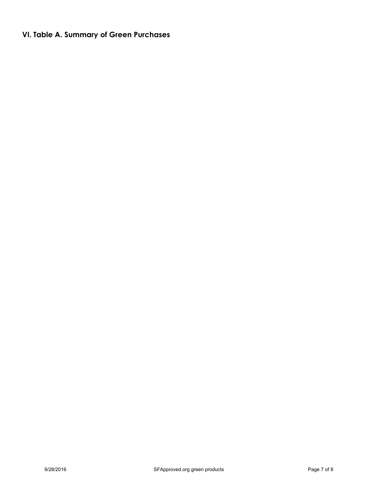# <span id="page-6-0"></span>**VI. Table A. Summary of Green Purchases**